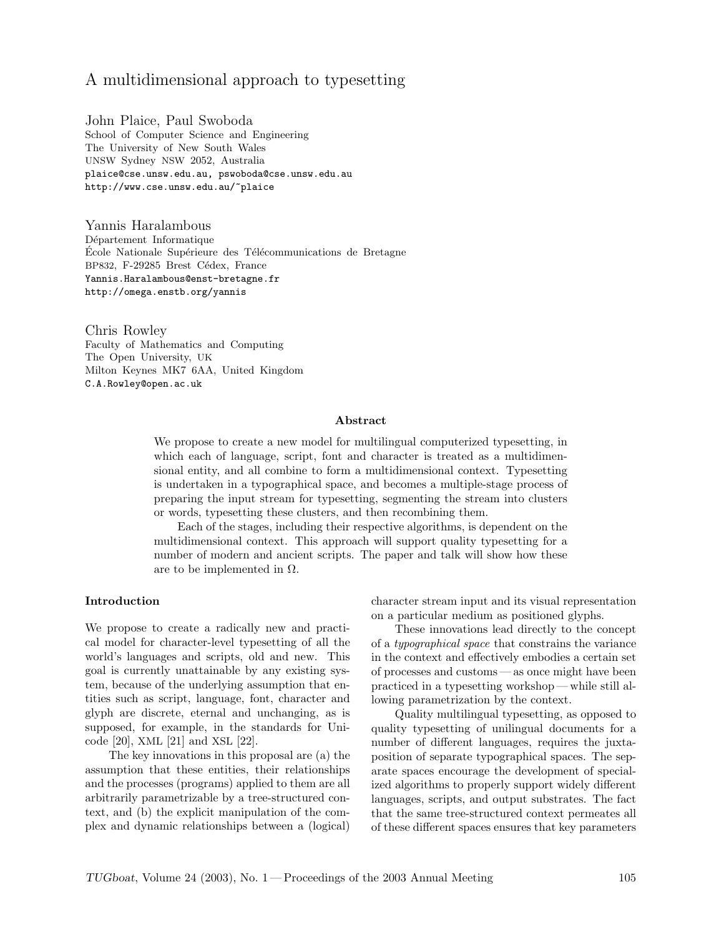# A multidimensional approach to typesetting

John Plaice, Paul Swoboda School of Computer Science and Engineering The University of New South Wales UNSW Sydney NSW 2052, Australia plaice@cse.unsw.edu.au, pswoboda@cse.unsw.edu.au http://www.cse.unsw.edu.au/~plaice

Yannis Haralambous Département Informatique École Nationale Supérieure des Télécommunications de Bretagne BP832, F-29285 Brest Cédex, France Yannis.Haralambous@enst-bretagne.fr http://omega.enstb.org/yannis

Chris Rowley Faculty of Mathematics and Computing The Open University, UK Milton Keynes MK7 6AA, United Kingdom C.A.Rowley@open.ac.uk

### Abstract

We propose to create a new model for multilingual computerized typesetting, in which each of language, script, font and character is treated as a multidimensional entity, and all combine to form a multidimensional context. Typesetting is undertaken in a typographical space, and becomes a multiple-stage process of preparing the input stream for typesetting, segmenting the stream into clusters or words, typesetting these clusters, and then recombining them.

Each of the stages, including their respective algorithms, is dependent on the multidimensional context. This approach will support quality typesetting for a number of modern and ancient scripts. The paper and talk will show how these are to be implemented in  $\Omega$ .

### Introduction

We propose to create a radically new and practical model for character-level typesetting of all the world's languages and scripts, old and new. This goal is currently unattainable by any existing system, because of the underlying assumption that entities such as script, language, font, character and glyph are discrete, eternal and unchanging, as is supposed, for example, in the standards for Unicode [20], XML [21] and XSL [22].

The key innovations in this proposal are (a) the assumption that these entities, their relationships and the processes (programs) applied to them are all arbitrarily parametrizable by a tree-structured context, and (b) the explicit manipulation of the complex and dynamic relationships between a (logical) character stream input and its visual representation on a particular medium as positioned glyphs.

These innovations lead directly to the concept of a typographical space that constrains the variance in the context and effectively embodies a certain set of processes and customs — as once might have been practiced in a typesetting workshop— while still allowing parametrization by the context.

Quality multilingual typesetting, as opposed to quality typesetting of unilingual documents for a number of different languages, requires the juxtaposition of separate typographical spaces. The separate spaces encourage the development of specialized algorithms to properly support widely different languages, scripts, and output substrates. The fact that the same tree-structured context permeates all of these different spaces ensures that key parameters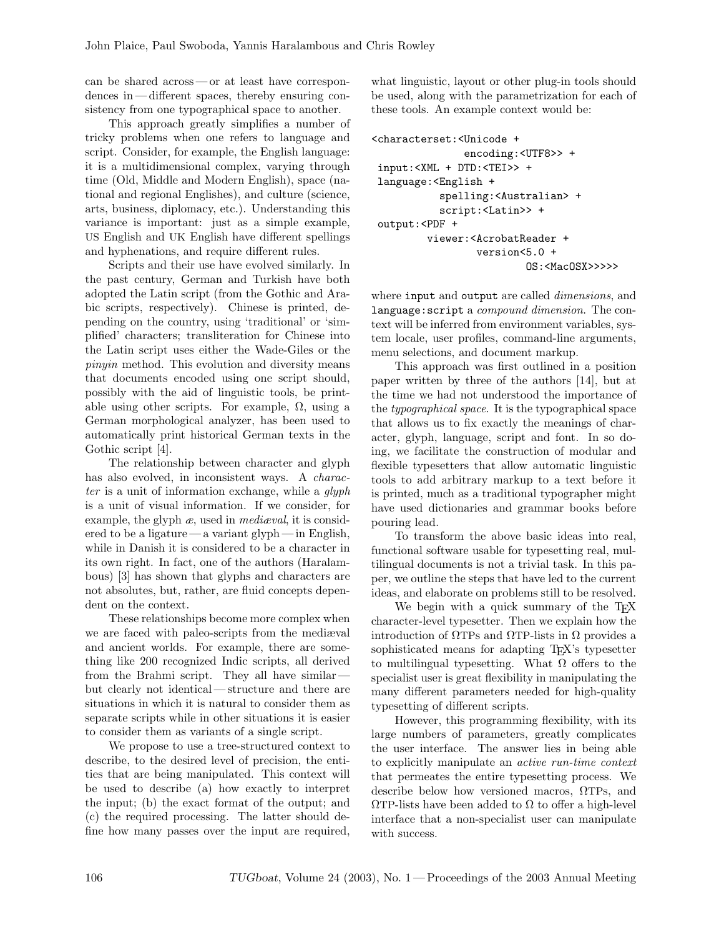can be shared across — or at least have correspondences in— different spaces, thereby ensuring consistency from one typographical space to another.

This approach greatly simplifies a number of tricky problems when one refers to language and script. Consider, for example, the English language: it is a multidimensional complex, varying through time (Old, Middle and Modern English), space (national and regional Englishes), and culture (science, arts, business, diplomacy, etc.). Understanding this variance is important: just as a simple example, US English and UK English have different spellings and hyphenations, and require different rules.

Scripts and their use have evolved similarly. In the past century, German and Turkish have both adopted the Latin script (from the Gothic and Arabic scripts, respectively). Chinese is printed, depending on the country, using 'traditional' or 'simplified' characters; transliteration for Chinese into the Latin script uses either the Wade-Giles or the pinyin method. This evolution and diversity means that documents encoded using one script should, possibly with the aid of linguistic tools, be printable using other scripts. For example,  $\Omega$ , using a German morphological analyzer, has been used to automatically print historical German texts in the Gothic script [4].

The relationship between character and glyph has also evolved, in inconsistent ways. A *charac*ter is a unit of information exchange, while a glyph is a unit of visual information. If we consider, for example, the glyph  $\alpha$ , used in *mediaval*, it is considered to be a ligature — a variant glyph— in English, while in Danish it is considered to be a character in its own right. In fact, one of the authors (Haralambous) [3] has shown that glyphs and characters are not absolutes, but, rather, are fluid concepts dependent on the context.

These relationships become more complex when we are faced with paleo-scripts from the mediæval and ancient worlds. For example, there are something like 200 recognized Indic scripts, all derived from the Brahmi script. They all have similar but clearly not identical— structure and there are situations in which it is natural to consider them as separate scripts while in other situations it is easier to consider them as variants of a single script.

We propose to use a tree-structured context to describe, to the desired level of precision, the entities that are being manipulated. This context will be used to describe (a) how exactly to interpret the input; (b) the exact format of the output; and (c) the required processing. The latter should define how many passes over the input are required, what linguistic, layout or other plug-in tools should be used, along with the parametrization for each of these tools. An example context would be:

```
<characterset:<Unicode +
               encoding:<UTF8>> +
 input:<XML + DTD:<TEI>> +
language:<English +
           spelling:<Australian> +
           script:<Latin>> +
output:<PDF +
         viewer:<AcrobatReader +
                 version<5.0 +
                          OS:<MacOSX>>>>>
```
where input and output are called *dimensions*, and language:script a compound dimension. The context will be inferred from environment variables, system locale, user profiles, command-line arguments, menu selections, and document markup.

This approach was first outlined in a position paper written by three of the authors [14], but at the time we had not understood the importance of the typographical space. It is the typographical space that allows us to fix exactly the meanings of character, glyph, language, script and font. In so doing, we facilitate the construction of modular and flexible typesetters that allow automatic linguistic tools to add arbitrary markup to a text before it is printed, much as a traditional typographer might have used dictionaries and grammar books before pouring lead.

To transform the above basic ideas into real, functional software usable for typesetting real, multilingual documents is not a trivial task. In this paper, we outline the steps that have led to the current ideas, and elaborate on problems still to be resolved.

We begin with a quick summary of the T<sub>EX</sub> character-level typesetter. Then we explain how the introduction of  $\Omega$ TPs and  $\Omega$ TP-lists in  $\Omega$  provides a sophisticated means for adapting TEX's typesetter to multilingual typesetting. What  $\Omega$  offers to the specialist user is great flexibility in manipulating the many different parameters needed for high-quality typesetting of different scripts.

However, this programming flexibility, with its large numbers of parameters, greatly complicates the user interface. The answer lies in being able to explicitly manipulate an active run-time context that permeates the entire typesetting process. We describe below how versioned macros, ΩTPs, and  $\Omega$ TP-lists have been added to  $\Omega$  to offer a high-level interface that a non-specialist user can manipulate with success.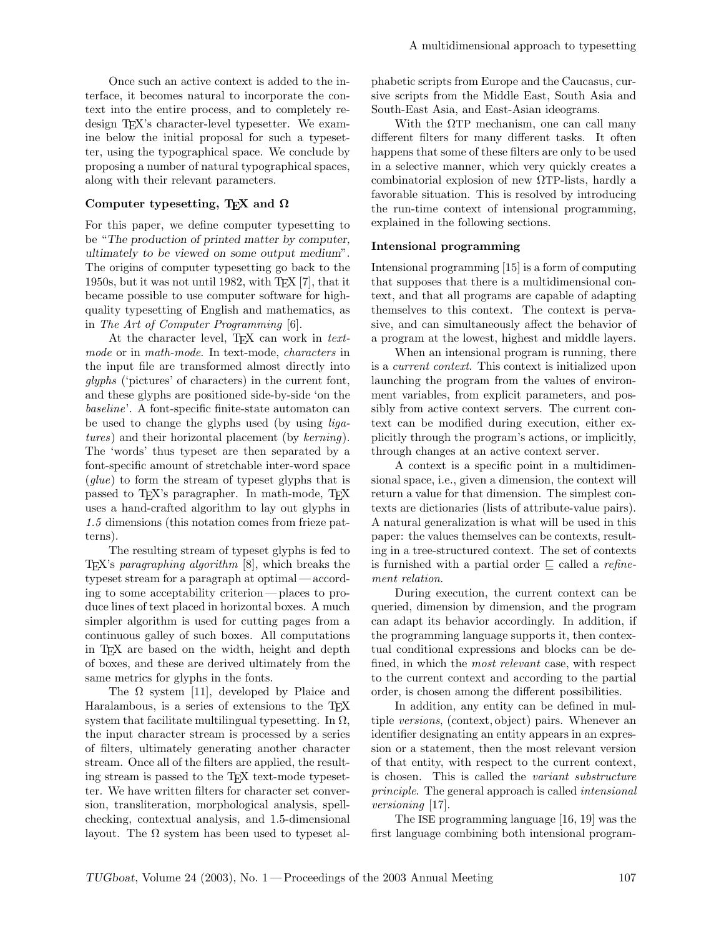Once such an active context is added to the interface, it becomes natural to incorporate the context into the entire process, and to completely redesign TEX's character-level typesetter. We examine below the initial proposal for such a typesetter, using the typographical space. We conclude by proposing a number of natural typographical spaces, along with their relevant parameters.

# Computer typesetting, T<sub>E</sub>X and  $\Omega$

For this paper, we define computer typesetting to be "The production of printed matter by computer, ultimately to be viewed on some output medium". The origins of computer typesetting go back to the 1950s, but it was not until 1982, with TEX [7], that it became possible to use computer software for highquality typesetting of English and mathematics, as in The Art of Computer Programming [6].

At the character level, TEX can work in textmode or in math-mode. In text-mode, characters in the input file are transformed almost directly into glyphs ('pictures' of characters) in the current font, and these glyphs are positioned side-by-side 'on the baseline'. A font-specific finite-state automaton can be used to change the glyphs used (by using ligatures) and their horizontal placement (by kerning). The 'words' thus typeset are then separated by a font-specific amount of stretchable inter-word space  $(glue)$  to form the stream of typeset glyphs that is passed to T<sub>E</sub>X's paragrapher. In math-mode, T<sub>E</sub>X uses a hand-crafted algorithm to lay out glyphs in 1.5 dimensions (this notation comes from frieze patterns).

The resulting stream of typeset glyphs is fed to TEX's paragraphing algorithm [8], which breaks the typeset stream for a paragraph at optimal— according to some acceptability criterion— places to produce lines of text placed in horizontal boxes. A much simpler algorithm is used for cutting pages from a continuous galley of such boxes. All computations in TEX are based on the width, height and depth of boxes, and these are derived ultimately from the same metrics for glyphs in the fonts.

The  $\Omega$  system [11], developed by Plaice and Haralambous, is a series of extensions to the TEX system that facilitate multilingual typesetting. In  $\Omega$ , the input character stream is processed by a series of filters, ultimately generating another character stream. Once all of the filters are applied, the resulting stream is passed to the T<sub>EX</sub> text-mode typesetter. We have written filters for character set conversion, transliteration, morphological analysis, spellchecking, contextual analysis, and 1.5-dimensional layout. The  $\Omega$  system has been used to typeset alphabetic scripts from Europe and the Caucasus, cursive scripts from the Middle East, South Asia and South-East Asia, and East-Asian ideograms.

With the  $\Omega$ TP mechanism, one can call many different filters for many different tasks. It often happens that some of these filters are only to be used in a selective manner, which very quickly creates a combinatorial explosion of new ΩTP-lists, hardly a favorable situation. This is resolved by introducing the run-time context of intensional programming, explained in the following sections.

### Intensional programming

Intensional programming [15] is a form of computing that supposes that there is a multidimensional context, and that all programs are capable of adapting themselves to this context. The context is pervasive, and can simultaneously affect the behavior of a program at the lowest, highest and middle layers.

When an intensional program is running, there is a current context. This context is initialized upon launching the program from the values of environment variables, from explicit parameters, and possibly from active context servers. The current context can be modified during execution, either explicitly through the program's actions, or implicitly, through changes at an active context server.

A context is a specific point in a multidimensional space, i.e., given a dimension, the context will return a value for that dimension. The simplest contexts are dictionaries (lists of attribute-value pairs). A natural generalization is what will be used in this paper: the values themselves can be contexts, resulting in a tree-structured context. The set of contexts is furnished with a partial order  $\subseteq$  called a refinement relation.

During execution, the current context can be queried, dimension by dimension, and the program can adapt its behavior accordingly. In addition, if the programming language supports it, then contextual conditional expressions and blocks can be defined, in which the *most relevant* case, with respect to the current context and according to the partial order, is chosen among the different possibilities.

In addition, any entity can be defined in multiple versions, (context, object) pairs. Whenever an identifier designating an entity appears in an expression or a statement, then the most relevant version of that entity, with respect to the current context, is chosen. This is called the variant substructure principle. The general approach is called intensional versioning [17].

The ISE programming language [16, 19] was the first language combining both intensional program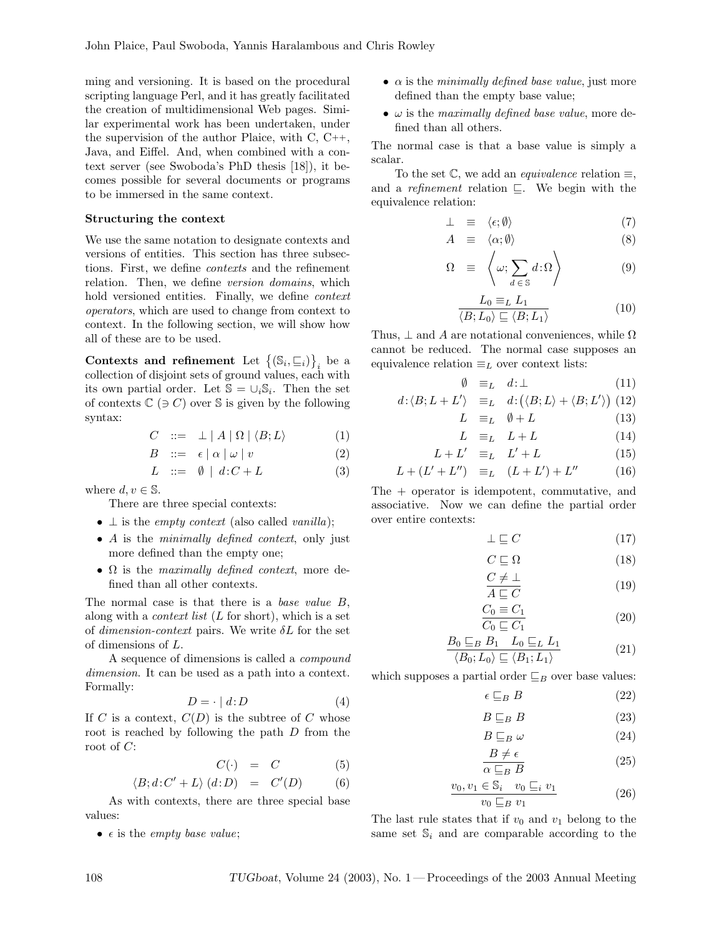ming and versioning. It is based on the procedural scripting language Perl, and it has greatly facilitated the creation of multidimensional Web pages. Similar experimental work has been undertaken, under the supervision of the author Plaice, with C, C++, Java, and Eiffel. And, when combined with a context server (see Swoboda's PhD thesis [18]), it becomes possible for several documents or programs to be immersed in the same context.

# Structuring the context

We use the same notation to designate contexts and versions of entities. This section has three subsections. First, we define contexts and the refinement relation. Then, we define version domains, which hold versioned entities. Finally, we define *context* operators, which are used to change from context to context. In the following section, we will show how all of these are to be used.

Contexts and refinement Let  $\{(\mathbb{S}_i, \sqsubseteq_i)\}_i$  be a collection of disjoint sets of ground values, each with its own partial order. Let  $\mathbb{S} = \cup_i \mathbb{S}_i$ . Then the set of contexts  $\mathbb{C}$  ( $\ni$  C) over  $\mathbb S$  is given by the following syntax:

$$
C \quad ::= \quad \bot \mid A \mid \Omega \mid \langle B; L \rangle \tag{1}
$$

$$
B \quad ::= \quad \epsilon \mid \alpha \mid \omega \mid v \tag{2}
$$

$$
L \quad ::= \quad \emptyset \mid d \colon C + L \tag{3}
$$

where  $d, v \in \mathbb{S}$ .

There are three special contexts:

- $\perp$  is the *empty context* (also called *vanilla*);
- A is the *minimally defined context*, only just more defined than the empty one;
- $\Omega$  is the maximally defined context, more defined than all other contexts.

The normal case is that there is a base value B, along with a *context list*  $(L \text{ for short}),$  which is a set of dimension-context pairs. We write  $\delta L$  for the set of dimensions of L.

A sequence of dimensions is called a compound dimension. It can be used as a path into a context. Formally:

$$
D = \cdot \mid d \colon D \tag{4}
$$

If C is a context,  $C(D)$  is the subtree of C whose root is reached by following the path D from the root of  $C$ :

$$
C(\cdot) = C \tag{5}
$$

$$
\langle B; d:C' + L \rangle (d:D) = C'(D) \qquad (6)
$$

As with contexts, there are three special base values:

•  $\epsilon$  is the *empty base value*;

- $\alpha$  is the *minimally defined base value*, just more defined than the empty base value;
- $\omega$  is the maximally defined base value, more defined than all others.

The normal case is that a base value is simply a scalar.

To the set  $\mathbb{C}$ , we add an *equivalence* relation  $\equiv$ , and a *refinement* relation  $\subseteq$ . We begin with the equivalence relation:

$$
\perp \equiv \langle \epsilon; \emptyset \rangle \tag{7}
$$

$$
A \equiv \langle \alpha; \emptyset \rangle \tag{8}
$$

$$
\Omega \equiv \left\langle \omega; \sum_{d \in \mathbb{S}} d \,:\, \Omega \right\rangle \tag{9}
$$

$$
\frac{L_0 \equiv_L L_1}{\langle B; L_0 \rangle \sqsubseteq \langle B; L_1 \rangle} \tag{10}
$$

Thus,  $\perp$  and A are notational conveniences, while  $\Omega$ cannot be reduced. The normal case supposes an equivalence relation  $\equiv_L$  over context lists:

$$
\emptyset \equiv_L d:\perp \tag{11}
$$

$$
d\colon \langle B; L+L'\rangle \quad \equiv_L \quad d\colon \big(\langle B; L\rangle + \langle B; L'\rangle\big) \tag{12}
$$

$$
L \equiv_L \quad \emptyset + L \tag{13}
$$

$$
L \equiv_L L + L \tag{14}
$$

$$
L + L' \equiv_L L' + L \tag{15}
$$

$$
L + (L' + L'') \equiv_L (L + L') + L'' \tag{16}
$$

The + operator is idempotent, commutative, and associative. Now we can define the partial order over entire contexts:

$$
\perp \sqsubseteq C \tag{17}
$$

$$
C \sqsubseteq \Omega \tag{18}
$$

$$
\frac{C \neq \bot}{A \sqsubseteq C} \tag{19}
$$

$$
\frac{C_0 \equiv C_1}{C_0 \sqsubseteq C_1} \tag{20}
$$

$$
\frac{B_0 \sqsubseteq_B B_1 \quad L_0 \sqsubseteq_L L_1}{\langle B_0; L_0 \rangle \sqsubseteq \langle B_1; L_1 \rangle} \tag{21}
$$

which supposes a partial order  $\sqsubseteq_B$  over base values:

$$
\epsilon \sqsubseteq_B B \tag{22}
$$

$$
B \sqsubseteq_B B \tag{23}
$$

$$
B \sqsubseteq_B \omega \tag{24}
$$

$$
\frac{B \neq \epsilon}{\alpha \sqsubseteq_B B} \tag{25}
$$

$$
\frac{v_0, v_1 \in \mathbb{S}_i \quad v_0 \sqsubseteq_i v_1}{v_0 \sqsubseteq_B v_1} \tag{26}
$$

The last rule states that if  $v_0$  and  $v_1$  belong to the same set  $\mathbb{S}_i$  and are comparable according to the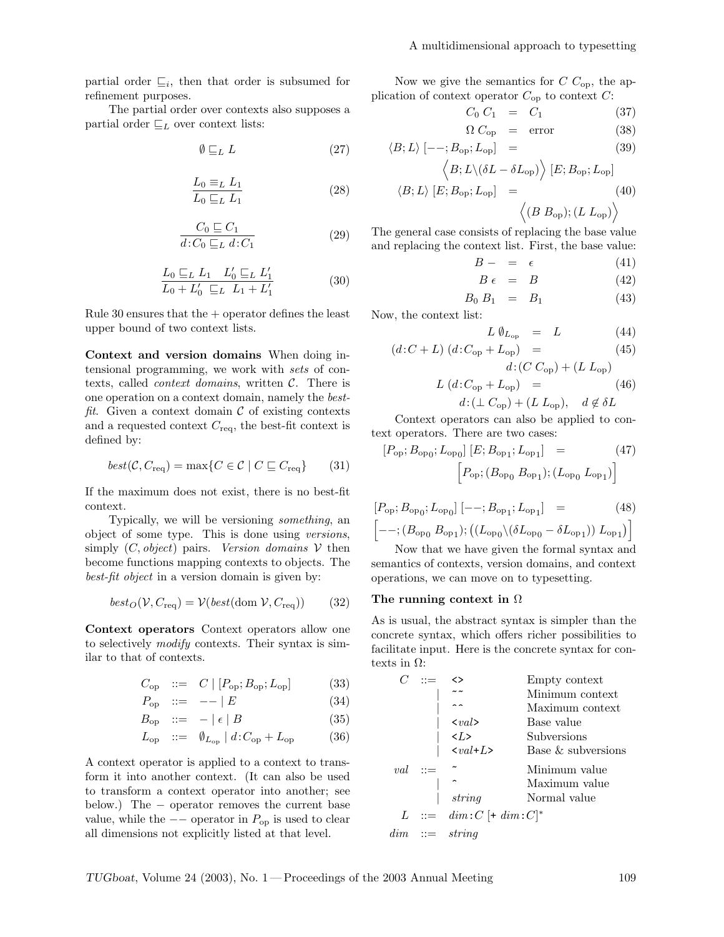partial order  $\sqsubseteq_i$ , then that order is subsumed for refinement purposes.

The partial order over contexts also supposes a partial order  $\sqsubseteq_L$  over context lists:

$$
\emptyset \sqsubseteq_L L \tag{27}
$$

$$
\frac{L_0 \equiv_L L_1}{L_0 \sqsubseteq_L L_1} \tag{28}
$$

$$
\frac{C_0 \sqsubseteq C_1}{d: C_0 \sqsubseteq_L d: C_1} \tag{29}
$$

$$
\frac{L_0 \sqsubseteq_L L_1 \quad L'_0 \sqsubseteq_L L'_1}{L_0 + L'_0 \sqsubseteq_L L_1 + L'_1} \tag{30}
$$

Rule 30 ensures that the  $+$  operator defines the least upper bound of two context lists.

Context and version domains When doing intensional programming, we work with sets of contexts, called *context domains*, written  $C$ . There is one operation on a context domain, namely the bestfit. Given a context domain  $\mathcal C$  of existing contexts and a requested context  $C_{\text{req}}$ , the best-fit context is defined by:

$$
best(\mathcal{C}, C_{\text{req}}) = \max\{C \in \mathcal{C} \mid C \sqsubseteq C_{\text{req}}\} \qquad (31)
$$

If the maximum does not exist, there is no best-fit context.

Typically, we will be versioning something, an object of some type. This is done using versions, simply  $(C, object)$  pairs. Version domains  $V$  then become functions mapping contexts to objects. The best-fit object in a version domain is given by:

$$
best_O(\mathcal{V}, C_{\text{req}}) = \mathcal{V}(best(\text{dom }\mathcal{V}, C_{\text{req}}))
$$
 (32)

Context operators Context operators allow one to selectively modify contexts. Their syntax is similar to that of contexts.

$$
C_{\rm op} \quad ::= \quad C \mid [P_{\rm op}; B_{\rm op}; L_{\rm op}] \tag{33}
$$

$$
P_{\rm op} \quad ::= \quad -- \mid E \tag{34}
$$

$$
B_{\rm op} \quad ::= \quad - \mid \epsilon \mid B \tag{35}
$$

$$
L_{\rm op} \quad ::= \quad \emptyset_{L_{\rm op}} \mid d \colon C_{\rm op} + L_{\rm op} \tag{36}
$$

A context operator is applied to a context to transform it into another context. (It can also be used to transform a context operator into another; see below.) The − operator removes the current base value, while the  $-$  operator in  $P_{op}$  is used to clear all dimensions not explicitly listed at that level.

Now we give the semantics for  $C$   $C_{op}$ , the application of context operator  $C_{op}$  to context  $C$ :

$$
C_0 C_1 = C_1 \tag{37}
$$

$$
\Omega C_{\text{op}} = \text{error} \tag{38}
$$

$$
\langle B; L \rangle [--; B_{\rm op}; L_{\rm op}] =
$$
\n
$$
\langle B; L \rangle (\delta L - \delta L_{\rm op}) \rangle [E; B_{\rm op}; L_{\rm op}]
$$
\n
$$
\langle B; L \rangle [E; B_{\rm on}; L_{\rm op}] =
$$
\n(40)

$$
\langle (B B_{op}); (L L_{op}) \rangle
$$

The general case consists of replacing the base value and replacing the context list. First, the base value:

$$
B - = \epsilon \tag{41}
$$

$$
B \epsilon = B \tag{42}
$$

$$
B_0 \; B_1 \;\; = \;\; B_1 \tag{43}
$$

Now, the context list:

$$
L \emptyset_{L_{\text{op}}} = L \tag{44}
$$

$$
(d:C+L) (d:C_{\text{op}} + L_{\text{op}}) = (45)
$$

$$
L (d:C_{op} + L_{op}) =
$$
  

$$
L (d:C_{op} + L_{op}) =
$$
 (46)

$$
d\!:\!(\perp C_{\rm op}) + (L L_{\rm op}), \quad d \notin \delta L
$$

Context operators can also be applied to context operators. There are two cases:

$$
[P_{\rm op}; B_{\rm op_0}; L_{\rm op_0}] [E; B_{\rm op_1}; L_{\rm op_1}] = (47)
$$

$$
\left[ P_{\rm op}; (B_{\rm op_0} B_{\rm op_1}); (L_{\rm op_0} L_{\rm op_1}) \right]
$$

$$
[P_{\rm op}; B_{\rm op_0}; L_{\rm op_0}] [- -; B_{\rm op_1}; L_{\rm op_1}] = (48)
$$
  

$$
[- -; (B_{\rm op_0} B_{\rm op_1}); ((L_{\rm op_0} \setminus (\delta L_{\rm op_0} - \delta L_{\rm op_1})) L_{\rm op_1})]
$$

Now that we have given the formal syntax and semantics of contexts, version domains, and context operations, we can move on to typesetting.

### The running context in  $\Omega$

As is usual, the abstract syntax is simpler than the concrete syntax, which offers richer possibilities to facilitate input. Here is the concrete syntax for contexts in  $Ω$ :

|     | ◇                             | Empty context         |
|-----|-------------------------------|-----------------------|
|     |                               | Minimum context       |
|     |                               | Maximum context       |
|     | $\langle val \rangle$         | Base value            |
|     | $\langle L \rangle$           | Subversions           |
|     | $\langle val+L \rangle$       | Base $\&$ subversions |
| val |                               | Minimum value         |
|     |                               | Maximum value         |
|     | string                        | Normal value          |
|     | $L$ ::= $dim:C$ [+ $dim:C$ ]* |                       |
| dim | $ ::=$ string                 |                       |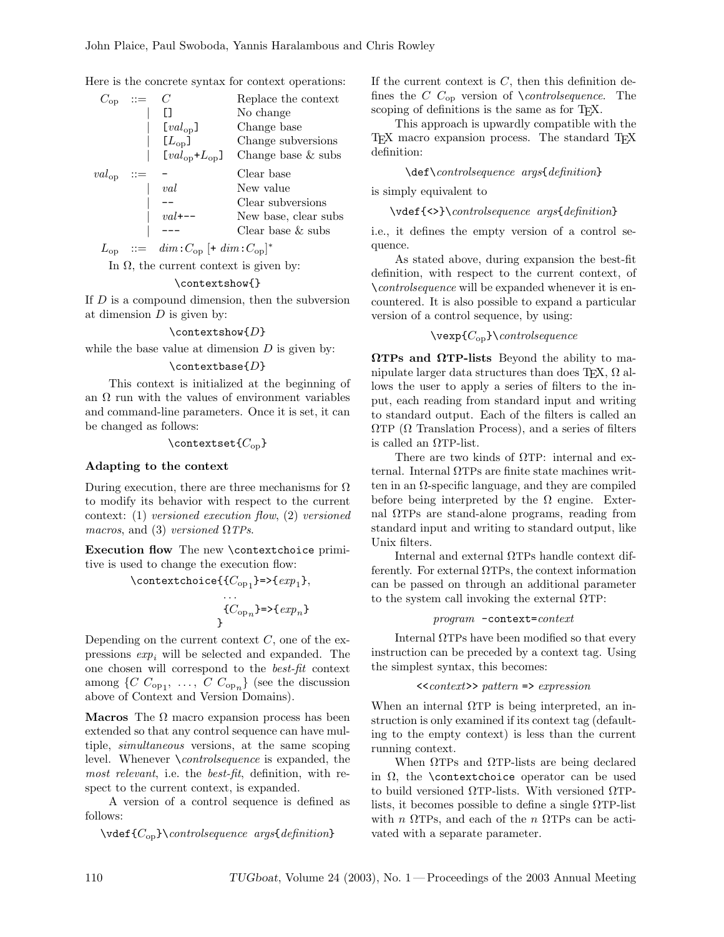Here is the concrete syntax for context operations:

| $C_{op}$   |                     | Replace the context  |
|------------|---------------------|----------------------|
|            |                     | No change            |
|            | $[val_{op}]$        | Change base          |
|            | $[L_{op}]$          | Change subversions   |
|            | $[val_{op}+L_{op}]$ | Change base $&$ subs |
| $val_{op}$ |                     | Clear base           |
|            |                     |                      |
|            | val                 | New value            |
|            |                     | Clear subversions    |
|            |                     | New base, clear subs |
|            |                     | Clear base $\&$ subs |

 $L_{\text{op}}$  ::=  $dim:C_{\text{op}}[+dim:C_{\text{op}}]^{*}$ 

In  $Ω$ , the current context is given by:

#### \contextshow{}

If  $D$  is a compound dimension, then the subversion at dimension  $D$  is given by:

### $\text{contextshow}\{D\}$

while the base value at dimension  $D$  is given by:

# $\text{constbase}\{D\}$

This context is initialized at the beginning of an  $\Omega$  run with the values of environment variables and command-line parameters. Once it is set, it can be changed as follows:

### \contextset $\{C_{op}\}$

### Adapting to the context

During execution, there are three mechanisms for  $\Omega$ to modify its behavior with respect to the current context: (1) versioned execution flow, (2) versioned macros, and (3) versioned  $\Omega$  TPs.

Execution flow The new \contextchoice primitive is used to change the execution flow:

$$
\verb"\contextchoice{ ${C_{op_1}}}=\verb>="\{exp_1\},$   
...\n
$$
{C_{op_n}}=\verb>="\{exp_n\}
$$
$$

} Depending on the current context  $C$ , one of the expressions  $exp_i$  will be selected and expanded. The one chosen will correspond to the best-fit context among  $\{C C_{\text{op}_1}, \ldots, C C_{\text{op}_n}\}\$  (see the discussion above of Context and Version Domains).

Macros The  $\Omega$  macro expansion process has been extended so that any control sequence can have multiple, simultaneous versions, at the same scoping level. Whenever \controlsequence is expanded, the most relevant, i.e. the best-fit, definition, with respect to the current context, is expanded.

A version of a control sequence is defined as follows:

 $\setminus \text{C_{op}}\backslash \text{controlsequence } args\$ 

If the current context is  $C$ , then this definition defines the C  $C_{op}$  version of \controlsequence. The scoping of definitions is the same as for TEX.

This approach is upwardly compatible with the TEX macro expansion process. The standard TEX definition:

### \def\controlsequence args{definition}

is simply equivalent to

\vdef{<>}\controlsequence args{definition}

i.e., it defines the empty version of a control sequence.

As stated above, during expansion the best-fit definition, with respect to the current context, of \controlsequence will be expanded whenever it is encountered. It is also possible to expand a particular version of a control sequence, by using:

 $\vee$ vexp{ $C_{op}\}\$ controlsequence

 $\Omega$ TPs and  $\Omega$ TP-lists Beyond the ability to manipulate larger data structures than does T<sub>E</sub>X,  $\Omega$  allows the user to apply a series of filters to the input, each reading from standard input and writing to standard output. Each of the filters is called an  $\Omega$ TP ( $\Omega$  Translation Process), and a series of filters is called an ΩTP-list.

There are two kinds of ΩTP: internal and external. Internal ΩTPs are finite state machines written in an  $\Omega$ -specific language, and they are compiled before being interpreted by the  $\Omega$  engine. External ΩTPs are stand-alone programs, reading from standard input and writing to standard output, like Unix filters.

Internal and external ΩTPs handle context differently. For external  $\Omega$ TPs, the context information can be passed on through an additional parameter to the system call invoking the external  $\Omega$ TP:

program -context=context

Internal  $\Omega$ TPs have been modified so that every instruction can be preceded by a context tag. Using the simplest syntax, this becomes:

#### $\langle$ <context>> pattern => expression

When an internal  $\Omega$ TP is being interpreted, an instruction is only examined if its context tag (defaulting to the empty context) is less than the current running context.

When ΩTPs and ΩTP-lists are being declared in  $\Omega$ , the \contextchoice operator can be used to build versioned ΩTP-lists. With versioned ΩTPlists, it becomes possible to define a single  $\Omega$ TP-list with  $n \Omega$ TPs, and each of the  $n \Omega$ TPs can be activated with a separate parameter.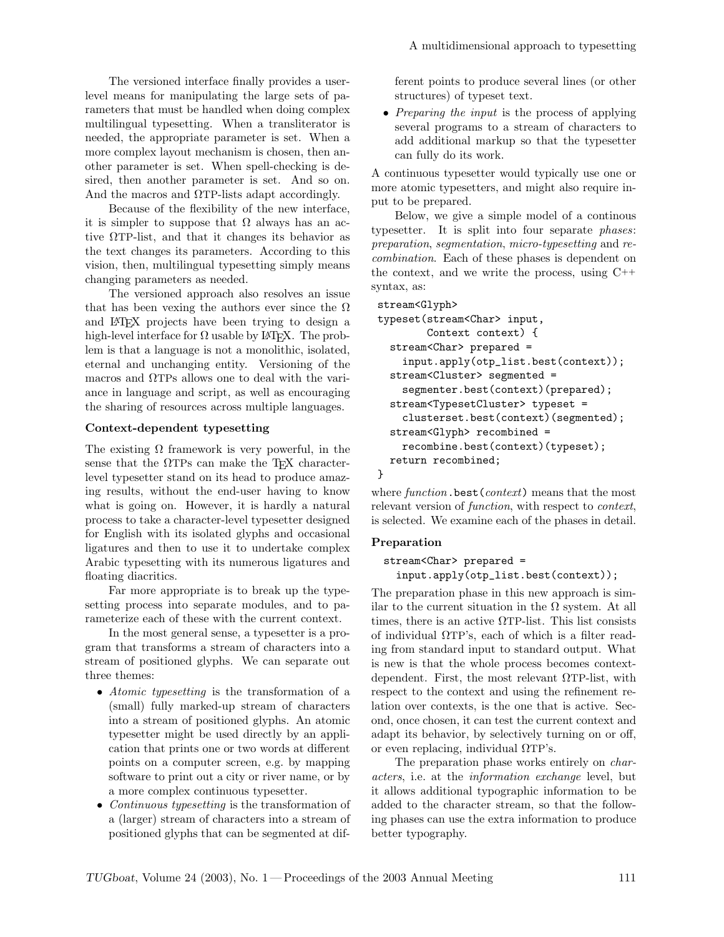The versioned interface finally provides a userlevel means for manipulating the large sets of parameters that must be handled when doing complex multilingual typesetting. When a transliterator is needed, the appropriate parameter is set. When a more complex layout mechanism is chosen, then another parameter is set. When spell-checking is desired, then another parameter is set. And so on. And the macros and  $\Omega$ TP-lists adapt accordingly.

Because of the flexibility of the new interface, it is simpler to suppose that  $\Omega$  always has an active ΩTP-list, and that it changes its behavior as the text changes its parameters. According to this vision, then, multilingual typesetting simply means changing parameters as needed.

The versioned approach also resolves an issue that has been vexing the authors ever since the  $\Omega$ and LATEX projects have been trying to design a high-level interface for  $\Omega$  usable by L<sup>AT</sup>EX. The problem is that a language is not a monolithic, isolated, eternal and unchanging entity. Versioning of the macros and ΩTPs allows one to deal with the variance in language and script, as well as encouraging the sharing of resources across multiple languages.

# Context-dependent typesetting

The existing  $\Omega$  framework is very powerful, in the sense that the  $\Omega$ TPs can make the T<sub>EX</sub> characterlevel typesetter stand on its head to produce amazing results, without the end-user having to know what is going on. However, it is hardly a natural process to take a character-level typesetter designed for English with its isolated glyphs and occasional ligatures and then to use it to undertake complex Arabic typesetting with its numerous ligatures and floating diacritics.

Far more appropriate is to break up the typesetting process into separate modules, and to parameterize each of these with the current context.

In the most general sense, a typesetter is a program that transforms a stream of characters into a stream of positioned glyphs. We can separate out three themes:

- Atomic typesetting is the transformation of a (small) fully marked-up stream of characters into a stream of positioned glyphs. An atomic typesetter might be used directly by an application that prints one or two words at different points on a computer screen, e.g. by mapping software to print out a city or river name, or by a more complex continuous typesetter.
- *Continuous typesetting* is the transformation of a (larger) stream of characters into a stream of positioned glyphs that can be segmented at dif-

ferent points to produce several lines (or other structures) of typeset text.

• *Preparing the input* is the process of applying several programs to a stream of characters to add additional markup so that the typesetter can fully do its work.

A continuous typesetter would typically use one or more atomic typesetters, and might also require input to be prepared.

Below, we give a simple model of a continous typesetter. It is split into four separate phases: preparation, segmentation, micro-typesetting and recombination. Each of these phases is dependent on the context, and we write the process, using C++ syntax, as:

```
stream<Glyph>
```

```
typeset(stream<Char> input,
        Context context) {
  stream<Char> prepared =
    input.apply(otp_list.best(context));
  stream<Cluster> segmented =
    segmenter.best(context)(prepared);
  stream<TypesetCluster> typeset =
    clusterset.best(context)(segmented);
 stream<Glyph> recombined =
   recombine.best(context)(typeset);
 return recombined;
}
```
where  $function$ . best (*context*) means that the most relevant version of *function*, with respect to *context*, is selected. We examine each of the phases in detail.

### Preparation

```
stream<Char> prepared =
  input.apply(otp_list.best(context));
```
The preparation phase in this new approach is similar to the current situation in the  $\Omega$  system. At all times, there is an active  $\Omega$ TP-list. This list consists of individual  $\Omega$ TP's, each of which is a filter reading from standard input to standard output. What is new is that the whole process becomes contextdependent. First, the most relevant  $\Omega$ TP-list, with respect to the context and using the refinement relation over contexts, is the one that is active. Second, once chosen, it can test the current context and adapt its behavior, by selectively turning on or off, or even replacing, individual ΩTP's.

The preparation phase works entirely on *char*acters, i.e. at the information exchange level, but it allows additional typographic information to be added to the character stream, so that the following phases can use the extra information to produce better typography.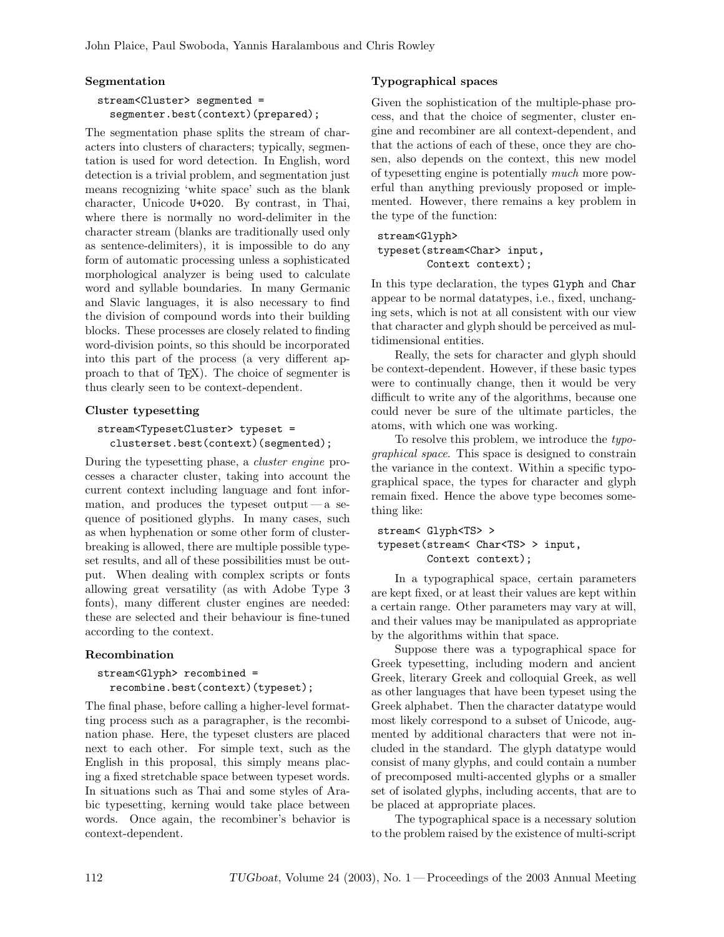# Segmentation

# stream<Cluster> segmented = segmenter.best(context)(prepared);

The segmentation phase splits the stream of characters into clusters of characters; typically, segmentation is used for word detection. In English, word detection is a trivial problem, and segmentation just means recognizing 'white space' such as the blank character, Unicode U+020. By contrast, in Thai, where there is normally no word-delimiter in the character stream (blanks are traditionally used only as sentence-delimiters), it is impossible to do any form of automatic processing unless a sophisticated morphological analyzer is being used to calculate word and syllable boundaries. In many Germanic and Slavic languages, it is also necessary to find the division of compound words into their building blocks. These processes are closely related to finding word-division points, so this should be incorporated into this part of the process (a very different approach to that of TEX). The choice of segmenter is thus clearly seen to be context-dependent.

# Cluster typesetting

```
stream<TypesetCluster> typeset =
  clusterset.best(context)(segmented);
```
During the typesetting phase, a cluster engine processes a character cluster, taking into account the current context including language and font information, and produces the typeset output — a sequence of positioned glyphs. In many cases, such as when hyphenation or some other form of clusterbreaking is allowed, there are multiple possible typeset results, and all of these possibilities must be output. When dealing with complex scripts or fonts allowing great versatility (as with Adobe Type 3 fonts), many different cluster engines are needed: these are selected and their behaviour is fine-tuned according to the context.

# Recombination

```
stream<Glyph> recombined =
 recombine.best(context)(typeset);
```
The final phase, before calling a higher-level formatting process such as a paragrapher, is the recombination phase. Here, the typeset clusters are placed next to each other. For simple text, such as the English in this proposal, this simply means placing a fixed stretchable space between typeset words. In situations such as Thai and some styles of Arabic typesetting, kerning would take place between words. Once again, the recombiner's behavior is context-dependent.

# Typographical spaces

Given the sophistication of the multiple-phase process, and that the choice of segmenter, cluster engine and recombiner are all context-dependent, and that the actions of each of these, once they are chosen, also depends on the context, this new model of typesetting engine is potentially much more powerful than anything previously proposed or implemented. However, there remains a key problem in the type of the function:

# stream<Glyph> typeset(stream<Char> input, Context context);

In this type declaration, the types Glyph and Char appear to be normal datatypes, i.e., fixed, unchanging sets, which is not at all consistent with our view that character and glyph should be perceived as multidimensional entities.

Really, the sets for character and glyph should be context-dependent. However, if these basic types were to continually change, then it would be very difficult to write any of the algorithms, because one could never be sure of the ultimate particles, the atoms, with which one was working.

To resolve this problem, we introduce the typographical space. This space is designed to constrain the variance in the context. Within a specific typographical space, the types for character and glyph remain fixed. Hence the above type becomes something like:

```
stream< Glyph<TS> >
typeset(stream< Char<TS> > input,
        Context context);
```
In a typographical space, certain parameters are kept fixed, or at least their values are kept within a certain range. Other parameters may vary at will, and their values may be manipulated as appropriate by the algorithms within that space.

Suppose there was a typographical space for Greek typesetting, including modern and ancient Greek, literary Greek and colloquial Greek, as well as other languages that have been typeset using the Greek alphabet. Then the character datatype would most likely correspond to a subset of Unicode, augmented by additional characters that were not included in the standard. The glyph datatype would consist of many glyphs, and could contain a number of precomposed multi-accented glyphs or a smaller set of isolated glyphs, including accents, that are to be placed at appropriate places.

The typographical space is a necessary solution to the problem raised by the existence of multi-script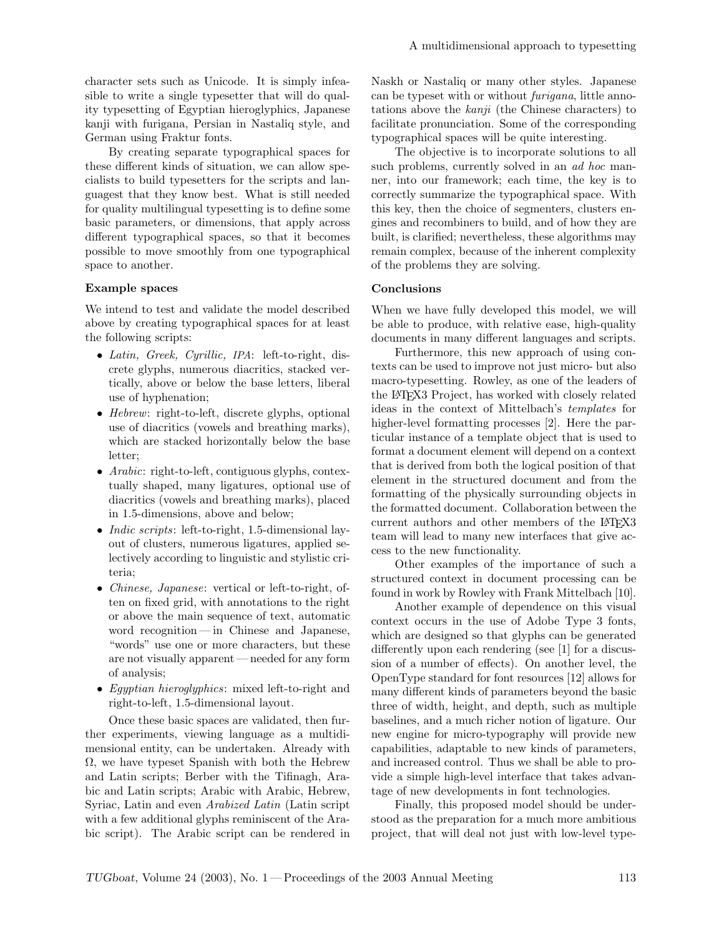character sets such as Unicode. It is simply infeasible to write a single typesetter that will do quality typesetting of Egyptian hieroglyphics, Japanese kanji with furigana, Persian in Nastaliq style, and German using Fraktur fonts.

By creating separate typographical spaces for these different kinds of situation, we can allow specialists to build typesetters for the scripts and languagest that they know best. What is still needed for quality multilingual typesetting is to define some basic parameters, or dimensions, that apply across different typographical spaces, so that it becomes possible to move smoothly from one typographical space to another.

# Example spaces

We intend to test and validate the model described above by creating typographical spaces for at least the following scripts:

- Latin, Greek, Cyrillic, IPA: left-to-right, discrete glyphs, numerous diacritics, stacked vertically, above or below the base letters, liberal use of hyphenation;
- Hebrew: right-to-left, discrete glyphs, optional use of diacritics (vowels and breathing marks), which are stacked horizontally below the base letter;
- *Arabic*: right-to-left, contiguous glyphs, contextually shaped, many ligatures, optional use of diacritics (vowels and breathing marks), placed in 1.5-dimensions, above and below;
- *Indic scripts*: left-to-right, 1.5-dimensional layout of clusters, numerous ligatures, applied selectively according to linguistic and stylistic criteria;
- *Chinese, Japanese*: vertical or left-to-right, often on fixed grid, with annotations to the right or above the main sequence of text, automatic word recognition— in Chinese and Japanese, "words" use one or more characters, but these are not visually apparent — needed for any form of analysis;
- Egyptian hieroglyphics: mixed left-to-right and right-to-left, 1.5-dimensional layout.

Once these basic spaces are validated, then further experiments, viewing language as a multidimensional entity, can be undertaken. Already with  $\Omega$ , we have typeset Spanish with both the Hebrew and Latin scripts; Berber with the Tifinagh, Arabic and Latin scripts; Arabic with Arabic, Hebrew, Syriac, Latin and even Arabized Latin (Latin script with a few additional glyphs reminiscent of the Arabic script). The Arabic script can be rendered in Naskh or Nastaliq or many other styles. Japanese can be typeset with or without furigana, little annotations above the  $kanji$  (the Chinese characters) to facilitate pronunciation. Some of the corresponding typographical spaces will be quite interesting.

The objective is to incorporate solutions to all such problems, currently solved in an *ad hoc* manner, into our framework; each time, the key is to correctly summarize the typographical space. With this key, then the choice of segmenters, clusters engines and recombiners to build, and of how they are built, is clarified; nevertheless, these algorithms may remain complex, because of the inherent complexity of the problems they are solving.

### Conclusions

When we have fully developed this model, we will be able to produce, with relative ease, high-quality documents in many different languages and scripts.

Furthermore, this new approach of using contexts can be used to improve not just micro- but also macro-typesetting. Rowley, as one of the leaders of the LATEX3 Project, has worked with closely related ideas in the context of Mittelbach's templates for higher-level formatting processes [2]. Here the particular instance of a template object that is used to format a document element will depend on a context that is derived from both the logical position of that element in the structured document and from the formatting of the physically surrounding objects in the formatted document. Collaboration between the current authors and other members of the LATFX3 team will lead to many new interfaces that give access to the new functionality.

Other examples of the importance of such a structured context in document processing can be found in work by Rowley with Frank Mittelbach [10].

Another example of dependence on this visual context occurs in the use of Adobe Type 3 fonts, which are designed so that glyphs can be generated differently upon each rendering (see [1] for a discussion of a number of effects). On another level, the OpenType standard for font resources [12] allows for many different kinds of parameters beyond the basic three of width, height, and depth, such as multiple baselines, and a much richer notion of ligature. Our new engine for micro-typography will provide new capabilities, adaptable to new kinds of parameters, and increased control. Thus we shall be able to provide a simple high-level interface that takes advantage of new developments in font technologies.

Finally, this proposed model should be understood as the preparation for a much more ambitious project, that will deal not just with low-level type